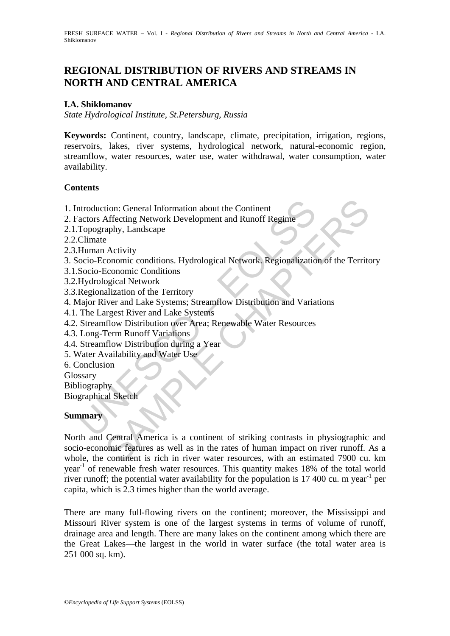# **REGIONAL DISTRIBUTION OF RIVERS AND STREAMS IN NORTH AND CENTRAL AMERICA**

### **I.A. Shiklomanov**

*State Hydrological Institute, St.Petersburg, Russia* 

**Keywords:** Continent, country, landscape, climate, precipitation, irrigation, regions, reservoirs, lakes, river systems, hydrological network, natural-economic region, streamflow, water resources, water use, water withdrawal, water consumption, water availability.

#### **Contents**

- 1. Introduction: General Information about the Continent
- 2. Factors Affecting Network Development and Runoff Regime
- 2.1.Topography, Landscape
- 2.2.Climate
- 2.3.Human Activity
- 3. Socio-Economic conditions. Hydrological Network. Regionalization of the Territory
- 3.1.Socio-Economic Conditions
- 3.2.Hydrological Network
- 3.3.Regionalization of the Territory
- ntroduction: General Information about the Continent<br>actors Affecting Network Development and Runoff Regime<br>Topography, Landscape<br>Climate<br>Human Activity<br>Elimate<br>Scoio-Economic conditions. Hydrological Network, Regionalizat 4. Major River and Lake Systems; Streamflow Distribution and Variations
- 4.1. The Largest River and Lake Systems
- 4.2. Streamflow Distribution over Area; Renewable Water Resources
- 4.3. Long-Term Runoff Variations
- 4.4. Streamflow Distribution during a Year
- 5. Water Availability and Water Use
- 6. Conclusion
- **Glossary**

**Bibliography** 

Biographical Sketch

#### **Summary**

tion: General Information about the Continent<br>
Affecting Network Development and Runoff Regime<br>
2<br>
2<br>
Activity<br>
2<br>
Activity<br>
2<br>
Activity<br>
2<br>
2<br>
Activity<br>
2<br>
2<br>
Activity<br>
2<br>
2<br>
Activity<br>
2<br>
2<br>
Sconomic Conditions<br>
alization North and Central America is a continent of striking contrasts in physiographic and socio-economic features as well as in the rates of human impact on river runoff. As a whole, the continent is rich in river water resources, with an estimated 7900 cu. km year-1 of renewable fresh water resources. This quantity makes 18% of the total world river runoff; the potential water availability for the population is  $17\,400$  cu. m year<sup>-1</sup> per capita, which is 2.3 times higher than the world average.

There are many full-flowing rivers on the continent; moreover, the Mississippi and Missouri River system is one of the largest systems in terms of volume of runoff, drainage area and length. There are many lakes on the continent among which there are the Great Lakes—the largest in the world in water surface (the total water area is 251 000 sq. km).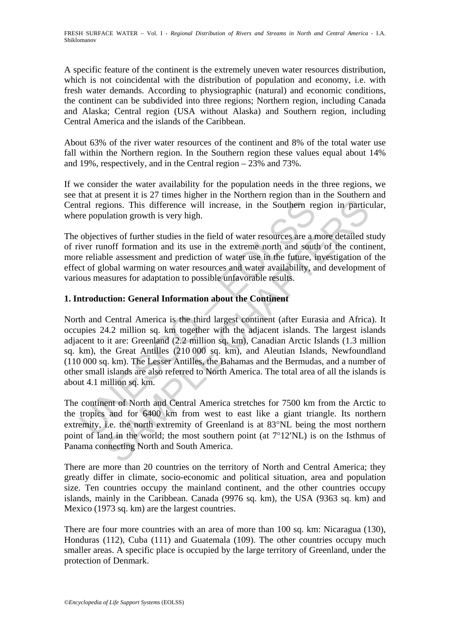A specific feature of the continent is the extremely uneven water resources distribution, which is not coincidental with the distribution of population and economy, i.e. with fresh water demands. According to physiographic (natural) and economic conditions, the continent can be subdivided into three regions; Northern region, including Canada and Alaska; Central region (USA without Alaska) and Southern region, including Central America and the islands of the Caribbean.

About 63% of the river water resources of the continent and 8% of the total water use fall within the Northern region. In the Southern region these values equal about 14% and 19%, respectively, and in the Central region – 23% and 73%.

If we consider the water availability for the population needs in the three regions, we see that at present it is 27 times higher in the Northern region than in the Southern and Central regions. This difference will increase, in the Southern region in particular, where population growth is very high.

The objectives of further studies in the field of water resources are a more detailed study of river runoff formation and its use in the extreme north and south of the continent, more reliable assessment and prediction of water use in the future, investigation of the effect of global warming on water resources and water availability, and development of various measures for adaptation to possible unfavorable results.

## **1. Introduction: General Information about the Continent**

tral regions. This difference will increase, in the Southern re<br>re population growth is very high.<br>objectives of further studies in the field of water resources are a r<br>iver runoff formation and its use in the extreme nort gions. This difference will increase, in the Southern region in particulation growth is very high.<br>
wes of further studies in the field of water resources are a more detailed some formation and its use in the extreme nort North and Central America is the third largest continent (after Eurasia and Africa). It occupies 24.2 million sq. km together with the adjacent islands. The largest islands adjacent to it are: Greenland (2.2 million sq. km), Canadian Arctic Islands (1.3 million sq. km), the Great Antilles (210 000 sq. km), and Aleutian Islands, Newfoundland (110 000 sq. km). The Lesser Antilles, the Bahamas and the Bermudas, and a number of other small islands are also referred to North America. The total area of all the islands is about 4.1 million sq. km.

The continent of North and Central America stretches for 7500 km from the Arctic to the tropics and for 6400 km from west to east like a giant triangle. Its northern extremity, i.e. the north extremity of Greenland is at 83°NL being the most northern point of land in the world; the most southern point (at 7°12′NL) is on the Isthmus of Panama connecting North and South America.

There are more than 20 countries on the territory of North and Central America; they greatly differ in climate, socio-economic and political situation, area and population size. Ten countries occupy the mainland continent, and the other countries occupy islands, mainly in the Caribbean. Canada (9976 sq. km), the USA (9363 sq. km) and Mexico (1973 sq. km) are the largest countries.

There are four more countries with an area of more than 100 sq. km: Nicaragua (130), Honduras (112), Cuba (111) and Guatemala (109). The other countries occupy much smaller areas. A specific place is occupied by the large territory of Greenland, under the protection of Denmark.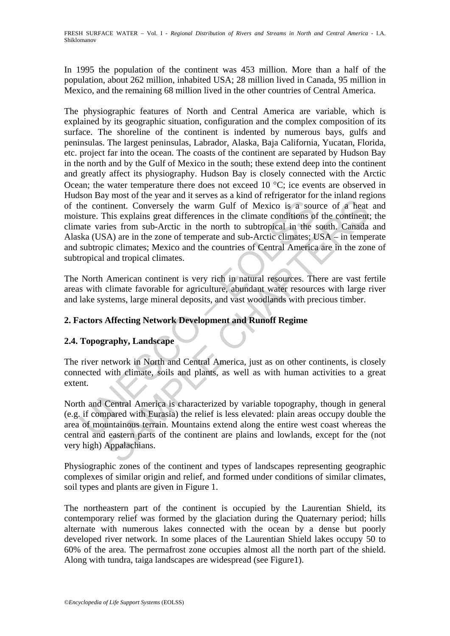In 1995 the population of the continent was 453 million. More than a half of the population, about 262 million, inhabited USA; 28 million lived in Canada, 95 million in Mexico, and the remaining 68 million lived in the other countries of Central America.

The continent. Conversely the warm Gulf of Mexico is a sou sture. This explains great differences in the climate conditions of sates sture. This explains great differences in the climate conditions of and two subtropical i ment Conversely the warm Gulf of Mexico is a source of a heat<br>thiennt. Conversely the warm Gulf of Mexico is a source of a heat<br>This explains great differences in the climate conditions of the continent<br>This explains great The physiographic features of North and Central America are variable, which is explained by its geographic situation, configuration and the complex composition of its surface. The shoreline of the continent is indented by numerous bays, gulfs and peninsulas. The largest peninsulas, Labrador, Alaska, Baja California, Yucatan, Florida, etc. project far into the ocean. The coasts of the continent are separated by Hudson Bay in the north and by the Gulf of Mexico in the south; these extend deep into the continent and greatly affect its physiography. Hudson Bay is closely connected with the Arctic Ocean; the water temperature there does not exceed 10 °C; ice events are observed in Hudson Bay most of the year and it serves as a kind of refrigerator for the inland regions of the continent. Conversely the warm Gulf of Mexico is a source of a heat and moisture. This explains great differences in the climate conditions of the continent; the climate varies from sub-Arctic in the north to subtropical in the south. Canada and Alaska (USA) are in the zone of temperate and sub-Arctic climates; USA – in temperate and subtropic climates; Mexico and the countries of Central America are in the zone of subtropical and tropical climates.

The North American continent is very rich in natural resources. There are vast fertile areas with climate favorable for agriculture, abundant water resources with large river and lake systems, large mineral deposits, and vast woodlands with precious timber.

## **2. Factors Affecting Network Development and Runoff Regime**

### **2.4. Topography, Landscape**

The river network in North and Central America, just as on other continents, is closely connected with climate, soils and plants, as well as with human activities to a great extent.

North and Central America is characterized by variable topography, though in general (e.g. if compared with Eurasia) the relief is less elevated: plain areas occupy double the area of mountainous terrain. Mountains extend along the entire west coast whereas the central and eastern parts of the continent are plains and lowlands, except for the (not very high) Appalachians.

Physiographic zones of the continent and types of landscapes representing geographic complexes of similar origin and relief, and formed under conditions of similar climates, soil types and plants are given in Figure 1.

The northeastern part of the continent is occupied by the Laurentian Shield, its contemporary relief was formed by the glaciation during the Quaternary period; hills alternate with numerous lakes connected with the ocean by a dense but poorly developed river network. In some places of the Laurentian Shield lakes occupy 50 to 60% of the area. The permafrost zone occupies almost all the north part of the shield. Along with tundra, taiga landscapes are widespread (see Figure1).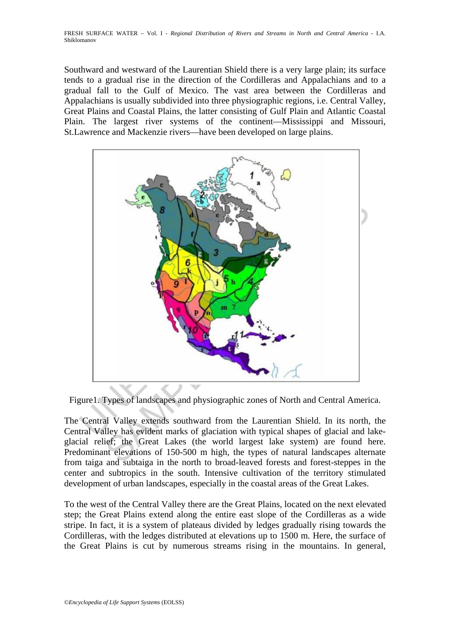FRESH SURFACE WATER – Vol. I - *Regional Distribution of Rivers and Streams in North and Central America* - I.A. Shiklomanov

Southward and westward of the Laurentian Shield there is a very large plain; its surface tends to a gradual rise in the direction of the Cordilleras and Appalachians and to a gradual fall to the Gulf of Mexico. The vast area between the Cordilleras and Appalachians is usually subdivided into three physiographic regions, i.e. Central Valley, Great Plains and Coastal Plains, the latter consisting of Gulf Plain and Atlantic Coastal Plain. The largest river systems of the continent—Mississippi and Missouri, St.Lawrence and Mackenzie rivers—have been developed on large plains.



Figure1. Types of landscapes and physiographic zones of North and Central America.

The Central Valley extends southward from the Laurentian Shield. In its north, the Central Valley has evident marks of glaciation with typical shapes of glacial and lakeglacial relief; the Great Lakes (the world largest lake system) are found here. Predominant elevations of 150-500 m high, the types of natural landscapes alternate from taiga and subtaiga in the north to broad-leaved forests and forest-steppes in the center and subtropics in the south. Intensive cultivation of the territory stimulated development of urban landscapes, especially in the coastal areas of the Great Lakes.

To the west of the Central Valley there are the Great Plains, located on the next elevated step; the Great Plains extend along the entire east slope of the Cordilleras as a wide stripe. In fact, it is a system of plateaus divided by ledges gradually rising towards the Cordilleras, with the ledges distributed at elevations up to 1500 m. Here, the surface of the Great Plains is cut by numerous streams rising in the mountains. In general,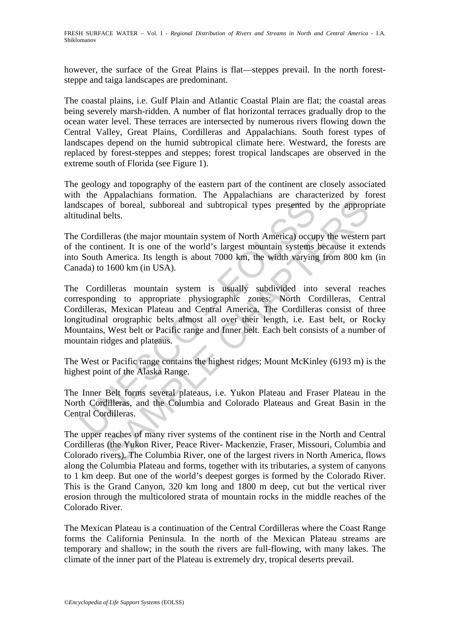however, the surface of the Great Plains is flat—steppes prevail. In the north foreststeppe and taiga landscapes are predominant.

The coastal plains, i.e. Gulf Plain and Atlantic Coastal Plain are flat; the coastal areas being severely marsh-ridden. A number of flat horizontal terraces gradually drop to the ocean water level. These terraces are intersected by numerous rivers flowing down the Central Valley, Great Plains, Cordilleras and Appalachians. South forest types of landscapes depend on the humid subtropical climate here. Westward, the forests are replaced by forest-steppes and steppes; forest tropical landscapes are observed in the extreme south of Florida (see Figure 1).

The geology and topography of the eastern part of the continent are closely associated with the Appalachians formation. The Appalachians are characterized by forest landscapes of boreal, subboreal and subtropical types presented by the appropriate altitudinal belts.

The Cordilleras (the major mountain system of North America) occupy the western part of the continent. It is one of the world's largest mountain systems because it extends into South America. Its length is about 7000 km, the width varying from 800 km (in Canada) to 1600 km (in USA).

Scapes of boreal, subboreal and subtropical types presented budinal belts.<br>
Cordilleras (the major mountain system of North America) occup<br>
continent. It is one of the world's largest mountain systems<br>
South America. Its l of boreal, subboreal and subtropical types presented by the approp-<br>belts.<br>
leras (the major mountain system of North America) occupy the western<br>
inent. It is one of the world's largest mountain systems because it ext<br>
Am The Cordilleras mountain system is usually subdivided into several reaches corresponding to appropriate physiographic zones: North Cordilleras, Central Cordilleras, Mexican Plateau and Central America. The Cordilleras consist of three longitudinal orographic belts almost all over their length, i.e. East belt, or Rocky Mountains, West belt or Pacific range and Inner belt. Each belt consists of a number of mountain ridges and plateaus.

The West or Pacific range contains the highest ridges; Mount McKinley (6193 m) is the highest point of the Alaska Range.

The Inner Belt forms several plateaus, i.e. Yukon Plateau and Fraser Plateau in the North Cordilleras, and the Columbia and Colorado Plateaus and Great Basin in the Central Cordilleras.

The upper reaches of many river systems of the continent rise in the North and Central Cordilleras (the Yukon River, Peace River- Mackenzie, Fraser, Missouri, Columbia and Colorado rivers). The Columbia River, one of the largest rivers in North America, flows along the Columbia Plateau and forms, together with its tributaries, a system of canyons to 1 km deep. But one of the world's deepest gorges is formed by the Colorado River. This is the Grand Canyon, 320 km long and 1800 m deep, cut but the vertical river erosion through the multicolored strata of mountain rocks in the middle reaches of the Colorado River.

The Mexican Plateau is a continuation of the Central Cordilleras where the Coast Range forms the California Peninsula. In the north of the Mexican Plateau streams are temporary and shallow; in the south the rivers are full-flowing, with many lakes. The climate of the inner part of the Plateau is extremely dry, tropical deserts prevail.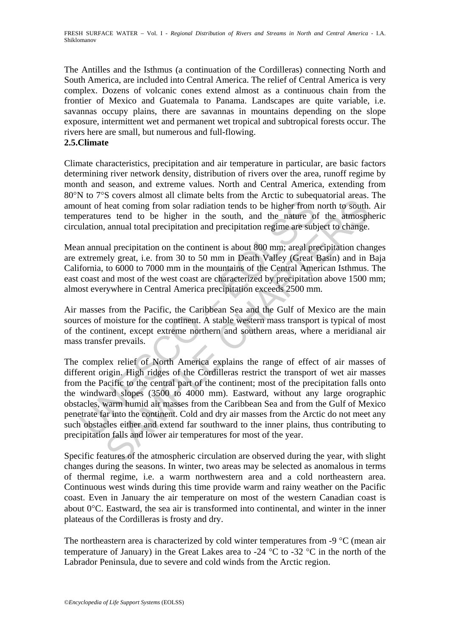The Antilles and the Isthmus (a continuation of the Cordilleras) connecting North and South America, are included into Central America. The relief of Central America is very complex. Dozens of volcanic cones extend almost as a continuous chain from the frontier of Mexico and Guatemala to Panama. Landscapes are quite variable, i.e. savannas occupy plains, there are savannas in mountains depending on the slope exposure, intermittent wet and permanent wet tropical and subtropical forests occur. The rivers here are small, but numerous and full-flowing.

### **2.5.Climate**

Climate characteristics, precipitation and air temperature in particular, are basic factors determining river network density, distribution of rivers over the area, runoff regime by month and season, and extreme values. North and Central America, extending from 80°N to 7°S covers almost all climate belts from the Arctic to subequatorial areas. The amount of heat coming from solar radiation tends to be higher from north to south. Air temperatures tend to be higher in the south, and the nature of the atmospheric circulation, annual total precipitation and precipitation regime are subject to change.

Mean annual precipitation on the continent is about 800 mm; areal precipitation changes are extremely great, i.e. from 30 to 50 mm in Death Valley (Great Basin) and in Baja California, to 6000 to 7000 mm in the mountains of the Central American Isthmus. The east coast and most of the west coast are characterized by precipitation above 1500 mm; almost everywhere in Central America precipitation exceeds 2500 mm.

Air masses from the Pacific, the Caribbean Sea and the Gulf of Mexico are the main sources of moisture for the continent. A stable western mass transport is typical of most of the continent, except extreme northern and southern areas, where a meridianal air mass transfer prevails.

ution of heat coming from solar radiation tends to be higher from<br>peratures tend to be higher in the south, and the nature of<br>ulation, annual total precipitation and precipitation regime are sub<br>an annual precipitation on beat coming from solar radiation tends to be higher from north to south.<br>
heat coming from solar radiation tends to be higher from north to south.<br>
heat coming from solar radiation tends to be higher from north to south,<br> The complex relief of North America explains the range of effect of air masses of different origin. High ridges of the Cordilleras restrict the transport of wet air masses from the Pacific to the central part of the continent; most of the precipitation falls onto the windward slopes (3500 to 4000 mm). Eastward, without any large orographic obstacles, warm humid air masses from the Caribbean Sea and from the Gulf of Mexico penetrate far into the continent. Cold and dry air masses from the Arctic do not meet any such obstacles either and extend far southward to the inner plains, thus contributing to precipitation falls and lower air temperatures for most of the year.

Specific features of the atmospheric circulation are observed during the year, with slight changes during the seasons. In winter, two areas may be selected as anomalous in terms of thermal regime, i.e. a warm northwestern area and a cold northeastern area. Continuous west winds during this time provide warm and rainy weather on the Pacific coast. Even in January the air temperature on most of the western Canadian coast is about  $0^{\circ}$ C. Eastward, the sea air is transformed into continental, and winter in the inner plateaus of the Cordilleras is frosty and dry.

The northeastern area is characterized by cold winter temperatures from -9 °C (mean air temperature of January) in the Great Lakes area to -24  $^{\circ}$ C to -32  $^{\circ}$ C in the north of the Labrador Peninsula, due to severe and cold winds from the Arctic region.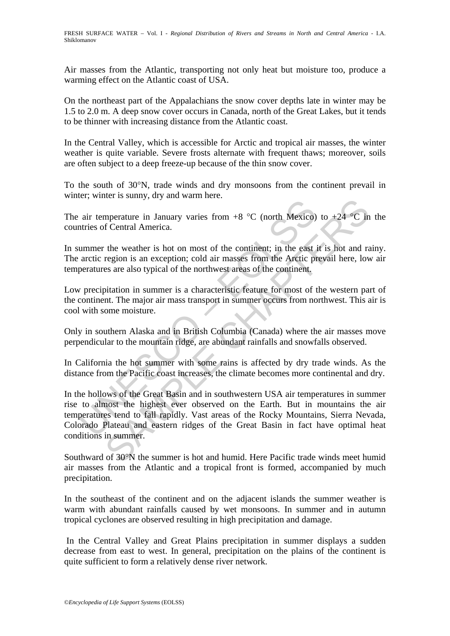Air masses from the Atlantic, transporting not only heat but moisture too, produce a warming effect on the Atlantic coast of USA.

On the northeast part of the Appalachians the snow cover depths late in winter may be 1.5 to 2.0 m. A deep snow cover occurs in Canada, north of the Great Lakes, but it tends to be thinner with increasing distance from the Atlantic coast.

In the Central Valley, which is accessible for Arctic and tropical air masses, the winter weather is quite variable. Severe frosts alternate with frequent thaws; moreover, soils are often subject to a deep freeze-up because of the thin snow cover.

To the south of 30°N, trade winds and dry monsoons from the continent prevail in winter; winter is sunny, dry and warm here.

The air temperature in January varies from  $+8$  °C (north Mexico) to  $+24$  °C in the countries of Central America.

In summer the weather is hot on most of the continent; in the east it is hot and rainy. The arctic region is an exception; cold air masses from the Arctic prevail here, low air temperatures are also typical of the northwest areas of the continent.

Low precipitation in summer is a characteristic feature for most of the western part of the continent. The major air mass transport in summer occurs from northwest. This air is cool with some moisture.

Only in southern Alaska and in British Columbia (Canada) where the air masses move perpendicular to the mountain ridge, are abundant rainfalls and snowfalls observed.

In California the hot summer with some rains is affected by dry trade winds. As the distance from the Pacific coast increases, the climate becomes more continental and dry.

are temperature in January varies from +8 °C (north Mexico)<br>atries of Central America.<br>ummer the weather is hot on most of the continent; in the east<br>arctic region is an exception; cold air masses from the Arctic p<br>peratur net assamly, all, all mains inct.<br>
The weather is January varies from +8 °C (north Mexico) to +24 °C in<br>
f Central America.<br>
the weather is hot on most of the continent; in the east it is hot and ra<br>
region is an exception In the hollows of the Great Basin and in southwestern USA air temperatures in summer rise to almost the highest ever observed on the Earth. But in mountains the air temperatures tend to fall rapidly. Vast areas of the Rocky Mountains, Sierra Nevada, Colorado Plateau and eastern ridges of the Great Basin in fact have optimal heat conditions in summer.

Southward of 30°N the summer is hot and humid. Here Pacific trade winds meet humid air masses from the Atlantic and a tropical front is formed, accompanied by much precipitation.

In the southeast of the continent and on the adjacent islands the summer weather is warm with abundant rainfalls caused by wet monsoons. In summer and in autumn tropical cyclones are observed resulting in high precipitation and damage.

 In the Central Valley and Great Plains precipitation in summer displays a sudden decrease from east to west. In general, precipitation on the plains of the continent is quite sufficient to form a relatively dense river network.